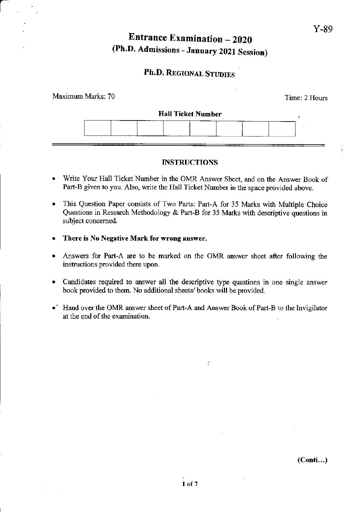# **Entrance Examination**  $-2020$  Y-89 (Ph.D. Admissions - January 2021 Session)

## Ph.D. REGIONAL STUDIES

| Maximum Marks: 70 |                           | Time: 2 Hours |
|-------------------|---------------------------|---------------|
|                   | <b>Hall Ticket Number</b> |               |
|                   |                           |               |

### INSTRUCTIONS

- . Write Your Hall Ticket Number in the OMR Arswer Sheet, and on the Answer Book of Part-B given to you. Also, write the Hall Ticket Number in the space provided above.
- . This Question Paper consists of Two Parts: Part-A for 35 Marks with Multiple Choice Questions in Research Methodology & Part-B for 35 Marks with descriptive questions in subject concemed.
- . There is No Negative Mark for wrong answer.
- Answers for Part-A are to be marked on the OMR answer sheet after following the instructions provided there upon.
- . Candidates required to answer all the descriptive type questions in one single answer book provided to them. No additional sheets/ books will be provided.
- Hand over the OMR answer sheet of Part-A and Answer Book of Part-B to the Invigilator at the end of the examination.

 $\ddot{\cdot}$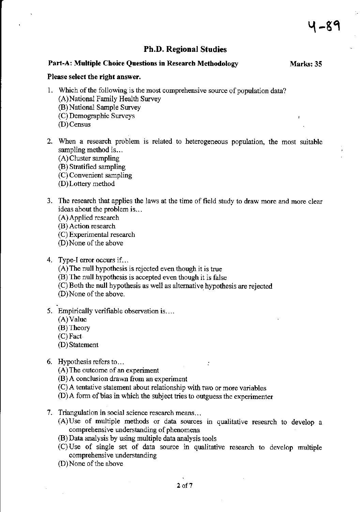## Ph.D. Regional Studies

#### Part-A: Multiple Choice Questions in Research Methodology Marks: 35

#### Please select the right answer.

- 1. Which of the following is the most comprehensive source of population data? (A)National Farnily Health Survey (B) National Sample Survey (C) Demographic Suweys @)Census
- 2. When a research problem is related to heterogeneous population, the most suitable sampling method is...
	- (A) Cluster sampling
	- (B) Stratified sampling
	- (C) Convenient sampling
	- (D)Lottery method
- 3. The research that applies the laws at the time of field study to draw more and more clear ideas about the problem is.,.
	- (A) Applied research
	- (B) Action research
	- (C) Experimental research
	- (D)None of the above
- 4. Type-I error occurs if...
	- (A)The null hpothesis is rejected even though it is true
	- (B) The null hypothesis is accepted even though it is false
	- (C) Both the null hypothesis as well as altemative hypothesis are rejected
	- (D)None of the above.
- 5. Empirically verifiable observation is....
	- (A)Value
	- (B) Theory
	- (C) Fact
	- (D) Statement
- 6. Hypothesis refers to...
	- (A) The outcome of an experiment
	- @) A conclusion drawn from an experiment
	- (C) A tentative statement about relationship with two or more variables
	- $(D)$ A form of bias in which the subject tries to outguess the experimenter
- 7. Triangulation in social science research mears...
	- $(A)$ Use of multiple methods or data sources in qualitative research to develop a comprehensive understanding of phenomena

 $\ddot{\cdot}$ 

- @) Data analysis by using multiple data analysis tools
- (C) Use of single set of data source in qualitative research to develop multiple comprehensive understanding
- (D)None of the above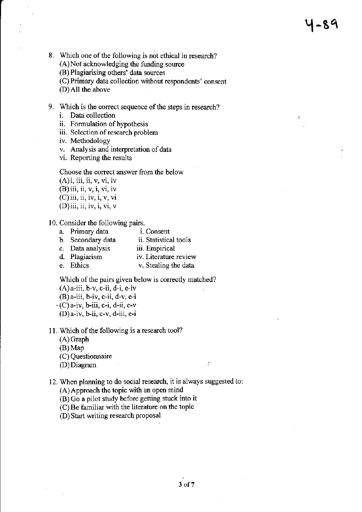# <sup>Y</sup>-8q

- 8. Which one of the following is not ethical in research?
	- $(A)$  Not acknowledging the funding source
	- (B) Plagiarising others' data sources
	- (C) Primary data collection without respondents' consent
	- (D)All the above
- 9. Which is the correct sequence of the steps in research?
	- i. Data collection
	- ii. Formulation of hypothesis
	- iii. Selection of research problem
	- iv. Methodology
	- v. Analysis and interpretation of data
	- vi. Reporting the results

#### Choose the correct answer from the below

 $(A)$ i, iii, ii, v, vi, iv

- $(B)$  iii, ii, v, i, vi, iv
- $(C)$  iii, ii, iv, i, v, vi
- (D)iii, ii, iv, i, vi, v

#### <sup>I</sup>0. Consider the following pairs.

- 
- a. Primary data i. Consent b. Secondary data ii. Statistical<br>c. Data analysis iii. Empirical
- c. Data analysis<br>d. Plagiarism
- iv. Literature review
- e. Ethics v. Stealing the data

Which of the pairs given below is correctly matched?

- $(A)$ a-iii, b-v, c-ii, d-i, e-iv
- (B)a-iii, b-iv, c-ii, d-v, e-i
- $\cdot$  (C) a-iv, b-iii, c-i, d-ii, e-v (D)a-iv, b-ii, c-v, d-iii, e-i
- 11. Which of the following is a research tool?
	- (A) Craph
	- (B) Map
	- (C) Questionnaire
	- (DJ Diagram
- 12. When planning to do social research, it is always suggested to:
	- (A) Approach the topic with an open mind
	- (B) Go a pilot study before getting stuck into it
	- $(C)$  Be familiar with the literature on the topic
	- (D) Start writing research proposal

 $\ddot{\cdot}$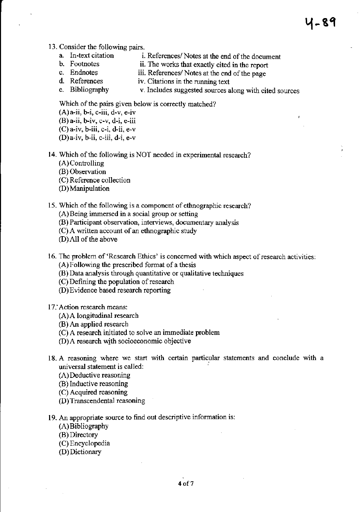#### 13. Consider the following pairs.

- a. In-text citation i. References/ Notes at the end of the document<br>b. Footnotes ii. The works that exactly cited in the report
- b. Footnotes ii. The works that exactly cited in the report c. Endnotes iii. References/Notes at the end of the nage
- c. Endnotes iii. References/ Notes at the end of the page<br>d. References iv. Citations in the running text
- d. References iv. Citations in the running text<br>e. Bibliography v. Includes suggested sources a
- v. Includes suggested sources along with cited sources

५-89

Which of the pairs given below is correctly matched?

 $(A)$  a-ii, b-i, c-iii, d-v, e-iv  $(B)$  a-ii, b-iv, c-v, d-i, e-iii

- $(C)$  a-iv, b-iii, c-i, d-ii, e-v
- $(D)a$ -iv, b-ii, c-iii, d-i, e-v
- <sup>I</sup>4. Which of the following is NOT needed in experimental research?
	- (A) Controlling
	- @) Observation
	- (C) Reference collection
	- (D) Manipulation
- 15. Which of the following is a component of ethnographic research?
	- (A) Being immersed in a social group or setting
	- @) Participant observation, interviews, documentary analysis
	- $(C)$  A written account of an ethnographic study
	- (D) All of the above
- 16. The problem of 'Research Ethics' is concerned with which aspect of research activities:  $(A)$  Following the prescribed format of a thesis
	- (B) Data analysis through quantitative or qualitative techniques
	- (C) Defining the population of research
	- (D) Evidence based research reporting
- 17. Action research means:
	- (A) A longitudinal researcb
	- @) An applied research
	- (C) A research initiated to solve an immediate problem
	- (D) A research with socioeconomic objective
- 18.A reasoning where we start with certain particular statements and conclude with a universal statement is called:
	- (A) Deductive reasoning
	- (B) Inductive reasoning
	- (C) Acquircd reasoning
	- (D) Transcendental reasoning
- 19. An appropriate source to find out descriptive information is:
	- (A) Bibliography
	- (B) Directory
	- (C) Encyclopedia
	- (D) Dictionary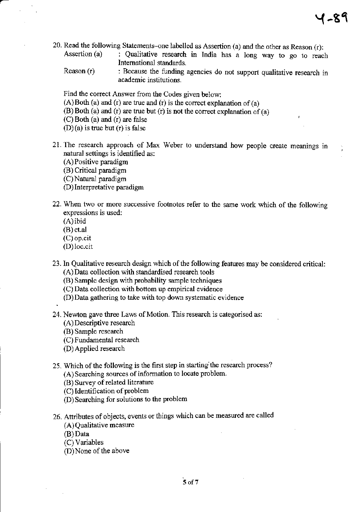,

- 20. Read the following Statements-one labelled as Assertion (a) and the other as Reason  $(r)$ :<br>Assertion (a) : Qualitative research in India has a long way to go to reac
	- : Qualitative research in India has a long way to go to reach Intemational standaxds.
	- Reason (r) : Because the funding agencies do not support qualitative research in academic institutions.

Find the correct Answer fiom the Codes given below:

- $(A)$ Both (a) and (r) are true and (r) is the correct explanation of (a)
- $(B)$  Both (a) and (r) are true but (r) is not the correct explanation of (a)
- (C) Both (a) and (r) are false

 $(D)(a)$  is true but  $(r)$  is false

- 21. The research approach of Max Weber to understand how people create meanings in natural settings is identified as:
	- (A) Positive paradigrn
	- (B) Critical paradigm
	- (C) Natural paradigm
	- (D) Interpretative paradigm
- 22. When two or more successive footnotes refer to the same work which of the following expressions is used:
	- (A) ibid
	- (B) et.al
	- (C) op.cit
	- (D)loc.cit

.

- 23. In Qualitative research design which of the following features may be considered critical: (A) Data collection with standardised research tools
	- (B) Sample design with probability sample techniques
	- (C) Data collection with bottom up empirical evidence
	- (D) Data gathering to take with top down systematic evidence
- 24. Newton gave three Laws of Motion. This research is categorised as:
	- (A) Descriptive reseaxch
	- @) Sample research
	- (C) Fundamental research
	- (D) Applied research
- 25. Which of the following is the first step in starting the research process?
	- (A) Searching sources of information to locate problem.
	- (B) Survey of related literature
	- (C) Identification of problem
	- (D) Searching for solutions to the problem
- 26. Attributes of objects, events or things which can be measured are called
	- (A) Qualitative measure
	- (B)Data
	- (C) Variables
	- (D)None of the above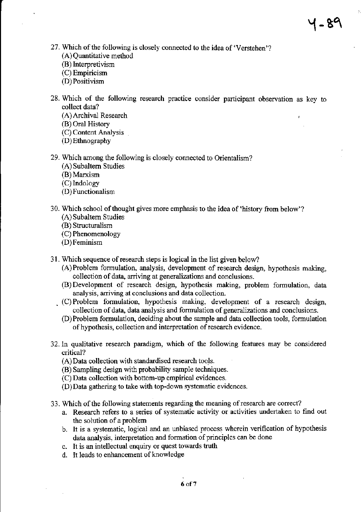- 27. Which of the following is closely connected to the idea of 'Verstehen'? (A) Quantitative method
	- (B) Interpretivism
	- (C) Empiricism
	- (D)Positivism
- 28. Which of the following research practice consider participant observation as key to collect data?
	- (A) Archival Research
	- (B) Oral History
	- (C) Content Analysis
	- (D) Ethnography
- 29. Which among the following is closely connected to Orientalism?
	- (A) Subaltem Studies
	- (B) Marxism
	- (C) Indology
	- (D) Functionalism
- 30. Which school of thought gives more emphasis to the idea of 'history from below'? (A) Subaltern Studies
	- @) Structuralism
	- (C) Phenomenology
	- @)Feminism
- <sup>3</sup>l Which sequence of research steps is logical in the list given below?
	- (A)Prcblem formulation, analysis, development of research design, hypothesis making, collection of data, arriving at generalizations and conclusions.
	- (B) Development of rcseaxch design, hypothesis making, problem formulation, data analysis. arriving at conclusions and data coilection.
	- . (C) Problem formulation, hypothesis making, development of a research design, collection of data, data analysis and formulation of generalizations and conclusions.
		- (D)Problem formulation, deciding about the sample and data collection tools, formulation of hypothesis, collection and interpretation of research evidence.
- 32. In qualitative research paradigm, which of the following features may be considered critical?
	- (A) Data collection with standardised research tools.
	- (B) Sampling design with probability sample techniques.
	- (C) Data collection with bottom-up empirical evidences.
	- $(D)$  Data gathering to take with top-down systematic evidences.
- 33. Which of the following statements regarding the meaning of research are correct?
	- a. Research refers to a series of systematic activity or activities undertaken to find out the solution of a problem
	- b. It is a systematic, logical and an unbiased process wherein verification of hypothesis data analysis, interpretation and formation of principles can be done
	- c. It is an intellectual enquiry or quest towards truth
	- d. It leads to enhancement of knowledge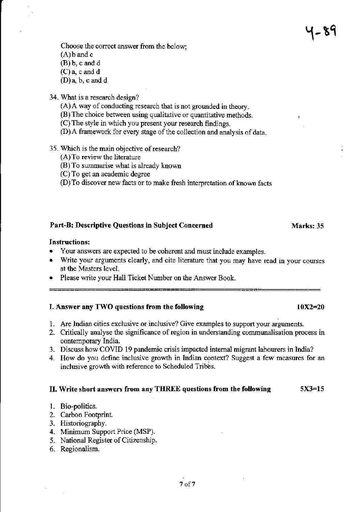Choose the correct answer from the below; (A)b and c (B) b, c and d (C) a, c and d  $(D)a, b, c$  and d

34. What is a research design?

(A) A way of conducting research that is not grounded in theory.

(B) The choice between using qualitative or quantitative methods. ,

(C) The style in which you present your research findings.

@) A framework for every stage of the collection and analysis of data.

4-89

35. Which is the main objective of research?

(A) To review the literature

(B) To surnmarise what is already known

(C) To get an academic degree

(D) To discover new facts or to make fresh interpretation of known facts

#### Part-B: Descriptive Questions in Subject Concerned Marks: 35

#### Instructions:

- Your answers are expected to be coherent and must include examples.
- Write your arguments clearly, and cite literature that you may have read in your courses at the Masters level.
- Please write your Hall Ticket Number on the Answer Book.

#### I. Answer any TWO questions from the following  $10X2=20$

- 1. Are Indian cities exclusive or inclusive? Give examples to support your arguments.
- 2. Critically analyse the significance of region in understanding communalisation process in contemporary India.
- 3. Discuss how COVID 19 pandemic crisis impacted intemal migrant labourers in Lrdia?
- 4. How do you define inclusive growth in Indian context? Suggest a few measures for an inclusive growth with reference to Scheduled Tribes.

#### II. Write short answers from any THREE questions from the following 5X3=15

- l. Bio-politics.
- 2. Carbon Footprint.
- 3. Historiography.
- 4. Minimum Support Price (MSP).
- 5. National Register of Citizenship.
- 6. Regionalism.